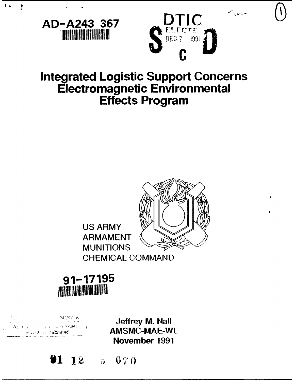

# **Integrated Logistic Support Concerns Electromagnetic Environmental Effects Program**





A VZNA (1

 $\overline{?}$ 

**Jeffrey M. Nail Example 2008 Contract Contract Contract Contract Contract Contract Contract Contract Contract Contract Contract Contract Contract Contract Contract Contract Contract Contract Contract Contract Contract Contract Contract November 1991**



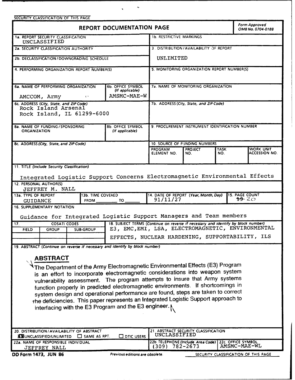| $\mathcal{L}_{\mathcal{S}}$<br>$\pmb{\Psi} = \mathbf{0} \times \mathbf{0}$ .<br>SECURITY CLASSIFICATION OF THIS PAGE                                                                                                                                                                                                                               |                                  |                                                            |                                                                             |                                         |  |                                   |  |
|----------------------------------------------------------------------------------------------------------------------------------------------------------------------------------------------------------------------------------------------------------------------------------------------------------------------------------------------------|----------------------------------|------------------------------------------------------------|-----------------------------------------------------------------------------|-----------------------------------------|--|-----------------------------------|--|
| REPORT DOCUMENTATION PAGE                                                                                                                                                                                                                                                                                                                          |                                  |                                                            |                                                                             | Form Approved<br>OMB No. 0704-0188      |  |                                   |  |
| 1a. REPORT SECURITY CLASSIFICATION<br>UNCLASSIFIED                                                                                                                                                                                                                                                                                                 |                                  |                                                            | <b>1b. RESTRICTIVE MARKINGS</b>                                             |                                         |  |                                   |  |
| 2a. SECURITY CLASSIFICATION AUTHORITY                                                                                                                                                                                                                                                                                                              |                                  |                                                            | 3. DISTRIBUTION/AVAILABILITY OF REPORT                                      |                                         |  |                                   |  |
| 2b. DECLASSIFICATION / DOWNGRADING SCHEDULE                                                                                                                                                                                                                                                                                                        |                                  |                                                            | UNLIMITED                                                                   |                                         |  |                                   |  |
| 4. PERFORMING ORGANIZATION REPORT NUMBER(S)                                                                                                                                                                                                                                                                                                        |                                  | 5. MONITORING ORGANIZATION REPORT NUMBER(S)                |                                                                             |                                         |  |                                   |  |
| 6a. NAME OF PERFORMING ORGANIZATION<br>AMCCOM, Army                                                                                                                                                                                                                                                                                                | $\mathcal{L}^{\mathcal{A}}$      | <b>6b. OFFICE SYMBOL</b><br>(If applicable)<br>AMSMC-MAE-W | <b>7a. NAME OF MONITORING ORGANIZATION</b>                                  |                                         |  |                                   |  |
| 6c. ADDRESS (City, State, and ZIP Code)                                                                                                                                                                                                                                                                                                            |                                  |                                                            |                                                                             | 7b. ADDRESS (City, State, and ZIP Code) |  |                                   |  |
| Rock Island Arsenal<br>Rock Island, IL 61299-6000                                                                                                                                                                                                                                                                                                  |                                  |                                                            |                                                                             |                                         |  |                                   |  |
| 8a. NAME OF FUNDING / SPONSORING<br><b>ORGANIZATION</b>                                                                                                                                                                                                                                                                                            |                                  | <b>8b. OFFICE SYMBOL</b><br>(If applicable)                | 9. PROCUREMENT INSTRUMENT IDENTIFICATION NUMBER                             |                                         |  |                                   |  |
| 8c. ADDRESS (City, State, and ZIP Code)                                                                                                                                                                                                                                                                                                            |                                  |                                                            | 10. SOURCE OF FUNDING NUMBERS                                               |                                         |  |                                   |  |
|                                                                                                                                                                                                                                                                                                                                                    |                                  | PROGRAM<br>ELEMENT NO.                                     | <b>PROJECT</b><br>NO.                                                       | <b>TASK</b><br>NO.                      |  | <b>WORK UNIT</b><br>ACCESSION NO. |  |
| 11. TITLE (Include Security Classification)<br>Integrated Logistic Support Concerns Electromagnetic Environmental Effects                                                                                                                                                                                                                          |                                  |                                                            |                                                                             |                                         |  |                                   |  |
| <b>12. PERSONAL AUTHOR(S)</b><br><b>JEFFREY M. NALL</b>                                                                                                                                                                                                                                                                                            |                                  |                                                            |                                                                             |                                         |  |                                   |  |
| 13a. TYPE OF REPORT<br><b>GUIDANCE</b>                                                                                                                                                                                                                                                                                                             | 13b. TIME COVERED<br><b>FROM</b> | TO                                                         | 15. PAGE COUNT<br>14. DATE OF REPORT (Year, Month, Day)<br>1920<br>91/11/27 |                                         |  |                                   |  |
| 16. SUPPLEMENTARY NOTATION<br>Guidance for Integrated Logistic Support Managers and Team members                                                                                                                                                                                                                                                   |                                  |                                                            |                                                                             |                                         |  |                                   |  |
| 18. SUBJECT TERMS (Continue on reverse if necessary and identify by block number)<br>17.<br><b>COSATI CODES</b><br>E3, EMC, EMI, LSA, ELECTROMAGNETIC, ENVIRONMENTAL<br>GROUP<br><b>SUB-GROUP</b><br><b>FIELD</b>                                                                                                                                  |                                  |                                                            |                                                                             |                                         |  |                                   |  |
|                                                                                                                                                                                                                                                                                                                                                    |                                  | EFFECTS, NUCLEAR HARDENING, SUPPORTABILITY, ILS            |                                                                             |                                         |  |                                   |  |
| 19. ABSTRACT (Continue on reverse if necessary and identify by block number)                                                                                                                                                                                                                                                                       |                                  |                                                            |                                                                             |                                         |  |                                   |  |
| <b>ABSTRACT</b><br>The Department of the Army Electromagnetic Environmental Effects (E3) Program<br>is an effort to incorporate electromagnetic considerations into weapon system<br>vulnerability assessment. The program attempts to insure that Army systems<br>function properly in predicted electromagnetic environments. If shortcomings in |                                  |                                                            |                                                                             |                                         |  |                                   |  |
| system design and operational performance are found, steps are taken to correct                                                                                                                                                                                                                                                                    |                                  |                                                            |                                                                             |                                         |  |                                   |  |

the deficiencies. This paper represents an Integrated Logistic Support approach to interfacing with the **E3** Program and the **E3** engineer.

| 20. DISTRIBUTION / AVAILABILITY OF ABSTRACT<br><b>NO SAME AS RPT.</b><br>$\Box$ DTIC USERS<br><b>XXUNCLASSIFIED/UNLIMITED</b> | . ABSTRACT SECURITY CLASSIFICATION<br>UNCLASSIFIED                                            |
|-------------------------------------------------------------------------------------------------------------------------------|-----------------------------------------------------------------------------------------------|
| 22a. NAME OF RESPONSIBLE INDIVIDUAL<br>JEFFREY NALL                                                                           | 22b. TELEPHONE (Include: Area Code)   22c. OFFICE SYMBOL<br>AMSMC-MAE-WL<br>782-2673<br>(309) |
| DD Form 1473, JUN 86<br>Previous editions are obsolete.                                                                       | SECURITY CLASSIFICATION OF THIS PAGE                                                          |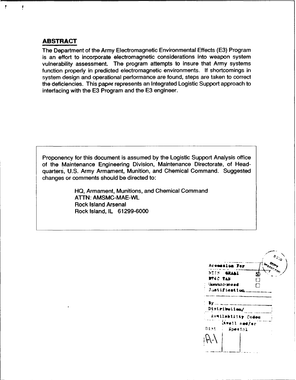## **ABSTRACT**

 $\overline{\mathbf{f}}$ 

 $\mathbf{I}$ 

The Department of the Army Electromagnetic Environmental Effects (E3) Program is an effort to incorporate electromagnetic considerations into weapon system vulnerability assessment. The program attempts to insure that Army systems function properly in predicted electromagnetic environments. **If** shortcomings in system design and operational performance are found, steps are taken to correct the deficiencies. This paper represents an Integrated Logistic Support approach to interfacing with the **E3** Program and the **E3** engineer.

Proponency for this document is assumed **by** the Logistic Support Analysis office of the Maintenance Engineering Division, Maintenance Directorate, of Headquarters, **U.S.** Army Armament, Munition, and Chemical Command. Suggested changes or comments should be directed to:

> **HQ,** Armament, Munitions, and Chemical Command **ATTN:** AMSMC-MAE-WL Rock Island Arsenal Rock Island, IL **61299-6000**

|                                |                      |   | $e_{\zeta_{\zeta_{Q}}}$ |
|--------------------------------|----------------------|---|-------------------------|
|                                | Accession For        |   | INSPECTED               |
|                                | NIIS <b>SRAAI</b>    | Π |                         |
| <b>DTEC TAB</b>                |                      | П |                         |
|                                | <b>Uperationment</b> | ⊓ |                         |
|                                | Justifieation        |   |                         |
| $\mathbf{y}_{\cdot\cdot\cdot}$ |                      |   |                         |
|                                | Distributien/        |   |                         |
|                                | Aveilability Codes   |   |                         |
|                                | Avail and/er         |   |                         |
| Dist                           | Special              |   |                         |
|                                |                      |   |                         |
|                                |                      |   |                         |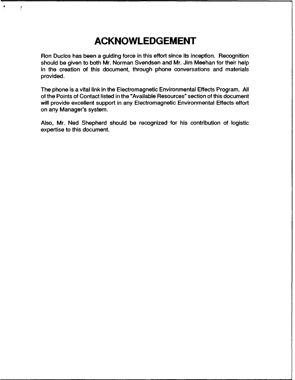# **ACKNOWLEDGEMENT**

 $\overline{\mathcal{L}}$ 

Ron Duclos has been a guiding force in this effort since its inception. Recognition should be given to both Mr. Norman Svendsen and Mr. Jim Meehan for their help in the creation of this document, through phone conversations and materials provided.

The phone is a vital link in the Electromagnetic Environmental Effects Program. **All** of the Points of Contact listed in the "Available Resources" section of this document will provide excellent support in any Electromagnetic Environmental Effects effort on any Manager's system.

Also, Mr. Ned Shepherd should be recognized for his contribution of logistic expertise to this document.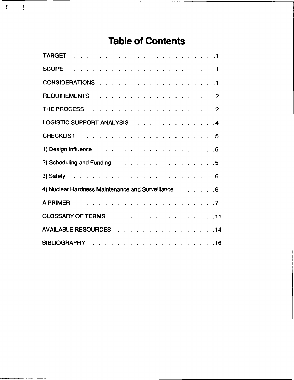# **Table of Contents**

 $\hat{\mathbf{r}}$ 

 $\frac{1}{2}$ 

| LOGISTIC SUPPORT ANALYSIS 4                                    |  |
|----------------------------------------------------------------|--|
|                                                                |  |
|                                                                |  |
| 2) Scheduling and Funding 5                                    |  |
|                                                                |  |
| 4) Nuclear Hardness Maintenance and Surveillance Transfer 1986 |  |
| A PRIMER                                                       |  |
| GLOSSARY OF TERMS 11                                           |  |
| AVAILABLE RESOURCES 14                                         |  |
|                                                                |  |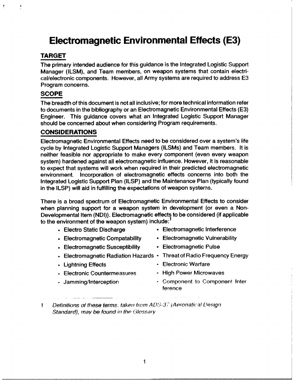# **Electromagnetic Environmental Effects (E3)**

# **TARGET**

J,

The primary intended audience for this guidance is the Integrated Logistic Support Manager **(ILSM),** and Team members, on weapon systems that contain electrical/electronic components. However, all Army systems are required to address **E3** Program concerns.

# **SCOPE**

The breadth of this document is not all inclusive; for more technical information refer to documents in the bibliography or an Electromagnetic Environmental Effects **(E3)** Engineer. This guidance covers what an Integrated Logistic Support Manager should be concerned about when considering Program requirements.

# **CONSIDERATIONS**

Electromagnetic Environmental Effects need to be considered over a system's life cycle **by** Integrated Logistic Support Managers (ILSMs) and Team members. It is neither feasible nor appropriate to make every component (even every weapon system) hardened against all electromagnetic influence. However, it is reasonable to expect that systems will work when required in their predicted electromagnetic environment. Incorporation of electromagnetic effects concerns into both the Integrated Logistic Support Plan **(ILSP)** and the Maintenance Plan (typically found in the **ILSP)** will aid in fulfilling the expectations of weapon systems.

There is a broad spectrum of Electromagnetic Environmental Effects to consider when planning support for a weapon system in development (or even a Non-Developmental Item **(NDI)).** Electromagnetic effects to be considered (if applicable to the environment of the weapon system) include:

- Electro Static Discharge Electromagnetic Interference
- **"** Electromagnetic Compatability Electromagnetic Vulnerability
- 
- 
- 
- Electromagnetic Susceptibility Electromagnetic Pulse
- \* Electromagnetic Radiation Hazards **-** Threat of Radio Frequency Energy
- Lightning Effects  **Electronic Warfare**
- *.* Electronic Countermeasures **-** High Power Microwaves
- 
- 
- Jamming/Interception . Component to Component Interference
- **1** Definitions of these terms. taken from *AU01-37 (AeronaticgI Lesign* Standard), **may** be found in the Glossary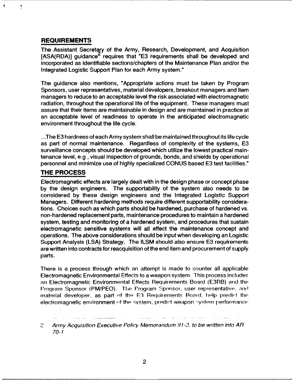## **REQUIREMENTS**

J.

The Assistant Secretary of the Army, Research, Development, and Acquisition **[ASA(RDA)]** guidance<sup>2</sup> requires that "E3 requirements shall be developed and incorporated as identifiable sections/chapters of the Maintenance Plan and/or the Integrated Logistic Support Plan for each Army system."

The guidance also mentions, "Appropriate actions must be taken **by** Program Sponsors, user representatives, material developers, breakout managers and item managers to reduce to an acceptable level the risk associated with electromagnetic radiation, throughout the operational life of the equipment. These managers must assure that their items are maintainable in design and are maintained in practice at an acceptable level of readiness to operate in the anticipated electromagnetic environment throughout the life cycle.

**...The E3** hardness of each Army system shall be maintained throughout its life cycle as part of normal maintenance. Regardless of complexity of the systems, **E3** surveillance concepts should be developed which utilize the lowest practical maintenance level, e.g, visual inspection of grounds, bonds, and shields **by** operational personnel and minimize use of **highly** specialized **CONUS** based **E3** test facilities."

### **THE PROCESS**

Electromagnetic effects are largely dealt with in the design phase or concept phase **by** the design engineers. The supportability of the system also needs to be considered **by** these design engineers and the Integrated Logistic Support Managers. Different hardening methods require different supportability considerations. Choices such as which parts should be hardened, purchase of hardened vs. non-hardened replacement parts, maintenance procedures to maintain a hardened system, testing and monitoring of a hardened system, and procedures that sustain electromagnetic sensitive systems will all affect the maintenance concept and operations. The above considerations should be input when developing an Logistic Support Analysis **(LSA)** Strategy. The **ILSM** should also ensure **E3** requirements are written into contracts for reacquisition of the end item and procurement of supply parts.

There is a process through which an attempt is made to counter all applicable Electromagnetic Environmental Effects to a weapon system. This process includes an Electromagnetic Environmental Effects Requirements Board (E3RB) arid the Program Sponsor (PM/PEO). The Program Sponsor, user representative, and material developer, as part of the E3 Requirements Roard, help predict the electromagnetic environment of the system, predict weapon system performance

 $\overline{c}$ Army Acquisition Executive Policy Memorandum 91-3, to be written into AR 70-1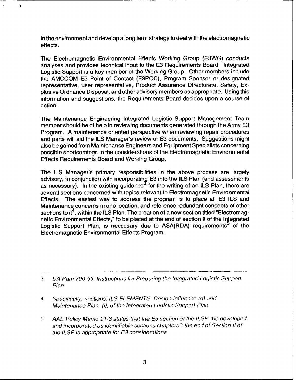in the environment and develop a long term strategy to deal with the electromagnetic effects.

 $\blacktriangleleft$ 

The Electromagnetic Environmental Effects Working Group (E3WG) conducts analyses and provides technical input to the E3 Requirements Board. Integrated Logistic Support is a key member of the Working Group. Other members include the AMCCOM E3 Point of Contact (E3POC), Program Sponsor or designated representative, user representative, Product Assurance Directorate, Safety, Explosive Ordnance Disposal, and other advisory members as appropriate. Using this information and suggestions, the Requirements Board decides upon a course of action.

The Maintenance Engineering Integrated Logistic Support Management Team member should be of help in reviewing documents generated through the Army E3 Program. A maintenance oriented perspective when reviewing repair procedures and parts will aid the ILS Manager's review of E3 documents. Suggestions might also be gained from Maintenance Engineers and Equipment Specialists concerning possible shortcomings in the considerations of the Electromagnetic Environmental Effects Requirements Board and Working Group.

The ILS Manager's primary responsibilities in the above process are largely advisory, in conjunction with incorporating E3 into the ILS Plan (and assessments as necessary). In the existing guidance  $\sigma$  for the writing of an ILS Plan, there are several sections concerned with topics relevant to Electromagnetic Environmental Effects. The easiest way to address the program is to place all E3 ILS and Maintenance concerns in one location, and reference redundant concepts of other sections to it<sup>4</sup>, within the ILS Plan. The creation of a new section titled "Electromagnetic Environmental Effects," to be placed at the end of section II of the Integrated Logistic Support Plan, is neccesary due to ASA(RDA) requirements<sup>5</sup> of the Electromagnetic Environmental Effects Program.

- **4** Specifically. sections: ILS ELEMENTS' Design Influence (d) and Maintenance Plan (i), of the Integrated Logistic Support *Plan*
- 5 AA E Policy Memo 91-3 states that the E3 section of the ILSP 'be developed and incorporated as identifiable sections/chapters *":* the end of Section *II* of the ILSP is appropriate for E3 considerations

*<sup>3</sup>* DA Pam 700-55. Instructions for Preparing the Integrated Logistic Support Plan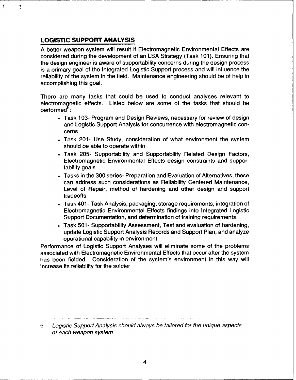# **LOGISTIC SUPPORT ANALYSIS**

Ņ

**A** better weapon system will result if Electromagnetic Environmental Effects are considered during the development of an **LSA** Strategy (Task **101).** Ensuring that the design engineer is aware of supportability concerns during the design process is a primary goal of the Integrated Logistic Support process and will influence the reliability of the system in the field. Maintenance engineering should be of help in accomplishing this goal.

There are many tasks that could be used to conduct analyses relevant to electromagnetic effects. Listed below are some of the tasks that should be performed **:**

- Task 103- Program and Design Reviews, necessary for review of design and Logistic Support Analysis for concurrence with electromagnetic concerns
- Task 201- Use Study, consideration of what environment the system should be able to operate within
- **"** Task 205- Supportability and Supportability Related Design Factors, Electromagnetic Environmental Effects design constraints and supportability goals
- Tasks in the 300 series- Preparation and Evaluation of Alternatives, these can address such considerations as Reliability Centered Maintenance, Level of Repair, method of hardening and other design and support tradeoffs
- Task 401- Task Analysis, packaging, storage requirements, integration of Electromagnetic Environmental Effects findings into Integrated Logistic Support Documentation, and determination of training requirements
- Task 501- Supportability Assessment, Test and evaluation of hardening, update Logistic Support Analysis Records and Support Plan, and analyze operational capability in environment.

Performance of Logistic Support Analyses will eliminate some of the problems associated with Electromagnetic Environmental Effects that occur after the system has been fielded. Consideration of the system's environment in this way will increase its reliability for the soldier.

6 Logistic Support Analysis should always be tailored for the unique aspects of each weapon system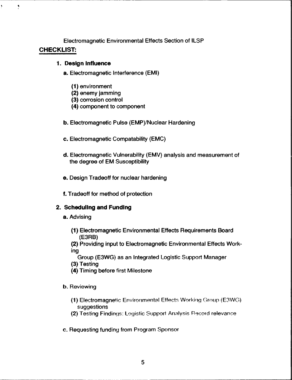Electromagnetic Environmental Effects Section of ILSP **CHECKLIST:**

#### **1. Design Influence**

¥.

Ņ

- a. Electromagnetic Interference **(EMI)**
	- **(1)** environment
	- (2) enemy jamming
	- **(3)** corrosion control
	- (4) component to component
- **b.** Electromagnetic Pulse (EMP)/Nuclear Hardening
- c. Electromagnetic Compatability **(EMC)**
- **d.** Electromagnetic Vulnerability (EMV) analysis and measurement of the degree of EM Susceptibility
- e. Design Tradeoff for nuclear hardening
- **f.** Tradeoff for method of protection

# **2. Scheduling and Funding**

- a. Advising
	- **(1)** Electromagnetic Environmental Effects Requirements Board (E3RB)

(2) Providing input to Electromagnetic Environmental Effects Working

- Group **(E3WG)** as an Integrated Logistic Support Manager
- **(3)** Testing
- (4) Timing before first Milestone
- **b.** Reviewing
	- **(1)** Electromagnetic Environmental Effect- Working Group (E3WG) suggestions
	- (2) Testing Findings: Logistic Support Analysis Record relevance
- c. Requesting funding from Program Sponsor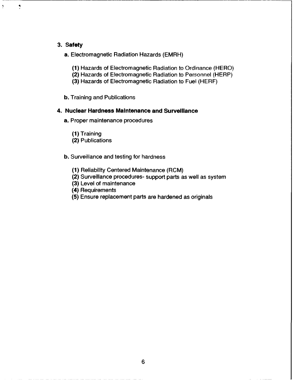#### **3. Safety**

 $\ddot{\phantom{1}}$ 

Ņ

a. Electromagnetic Radiation Hazards (EMRH)

- **(1)** Hazards of Electromagnetic Radiation to Ordinance (HERO)
- (2) Hazards of Electromagnetic Radiation to Personnel (HERP)
- **(3)** Hazards of Electromagnetic Radiation to Fuel (HERF)
- **b.** Training and Publications

#### **4. Nuclear Hardness Maintenance and Surveillance**

- a. Proper maintenance procedures
	- **(1)** Training
	- (2) Publications

#### **b.** Surveillance and testing for hardness

- **(1)** Reliability Centered Maintenance (RCM)
- (2) Surveillance procedures- support parts as well as system
- **(3)** Level of maintenance
- (4) Requirements
- **(5)** Ensure replacement parts are hardened as originals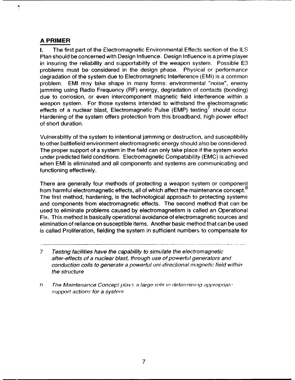## **A PRIMER**

 $\ddot{\phantom{1}}$ 

**I.** The first part of the Electromagnetic Environmental Effects section of the **ILS** Plan should be concerned with Design Influence. Design Influence is a prime player in insuring the reliability and supportability of the weapon system. Possible **E3** problems must be considered in the design phase. Physical or performance degradation of the system due to Electromagnetic Interference (EMI) is a common problem. EMI may take shape in many forms: environmental "noise", enemy jamming using Radio Frequency (RF) energy, degradation of contacts (bonding) due to corrosion, or even intercomponent magnetic field interference within a weapon system. For those systems intended to withstand the electromagnetic effects of a nuclear blast, Electromagnetic Pulse (EMP) testing should occur. Hardening of the system offers protection from this broadband, high power effect of short duration.

Vulnerability of the system to intentional jamming or destruction, and susceptibility to other battlefield environment electromagnetic energy should also be considered. The proper support of a system in the field can only take place if the system works under predicted field conditions. Electromagnetic Compatability (EMC) is achieved when EMI is eliminated and all components and systems are communicating and functioning effectively.

There are generally four methods of protecting a weapon system or component from harmful electromagnetic effects, all of which affect the maintenance concept.<sup>8</sup> The first method, hardening, is the technological approach to protecting systems and components from electromagnetic effects. The second method that can be used to eliminate problems caused by electromagnetism is called an Operational Fix. This method is basically operational avoidance of electromagnetic sources and elimination of reliance on susceptible items. Another basic method that can be used is called Proliferation, fielding the system in sufficient numbers to compensate for

- 7 Testing facilities have the capability to simulate the electromagnetic after-effects of a nuclear blast, through use of powerful generators and conduction coils to generate a powerful uni-directional magnetic field within the structure
- **8** The Maintenance Concept plays a large role in determining appropriate support actions for a system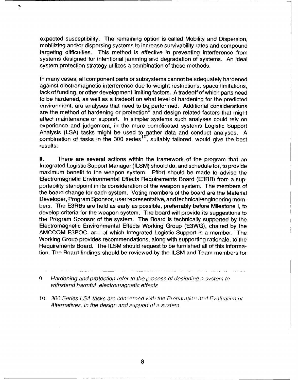expected susceptibility. The remaining option is called Mobility and Dispersion, mobilizing and/or dispersing systems to increase survivability rates and compound targeting difficulties. This method is effective in preventing interference from systems designed for intentional jamming and degradation of systems. An ideal system protection strategy utilizes a combination of these methods.

Ņ

In many cases, all component parts or subsystems cannot be adequately hardened against electromagnetic interference due to weight restrictions, space limitations, lack of funding, or other development limiting factors. A tradeoff of which parts need to be hardened, as well as a tradeoff on what level of hardening for the predicted environment, are analyses that need to be performed. Additional considerations are the method of hardening or protection<sup>9</sup> and design related factors that might affect maintenance or support. In simpler systems such analyses could rely on experience and judgement, in the more complicated systems Logistic Support Analysis (LSA) tasks might be used to gather data and conduct analyses. A combination of tasks in the 300 series<sup>10</sup>, suitably tailored, would give the best results.

**II.** There are several actions within the framework of the program that an Integrated Logistic Support Manager (ILSM) should do, and schedule for, to provide maximum benefit to the weapon system. Effort should be made to advise the Electromagnetic Environmental Effects Requirements Board (E3RB) from a supportability standpoint in its consideration of the weapon system. The members of the board change for each system. Voting members of the board are the Material Developer, Program Sponsor, user representative, and technical/engineering members. The E3RBs are held as early as possible, preferrably before Milestone I, to develop criteria for the weapon system. The board will provide its suggestions to the Program Sponsor of the system. The Board is technically supported by the Electromagnetic Environmental Effects Working Group (E3WG), chaired by the AMCCOM E3POC, and of which Integrated Logistic Support is a member. The Working Group provides recommendations, along with supporting rationale, to the Requirements Board. The ILSM should request to be furnished all of this information. The Board findings should be reviewed by the ILSM and Team members for

9 Hardening and protection refer to the process of designing a system to withstand harmful electromagnetic effects

*I0 300 Series LSA tasks are concerned with the Preparation and Evaluation of* Alternatives, in the design and *support of a system*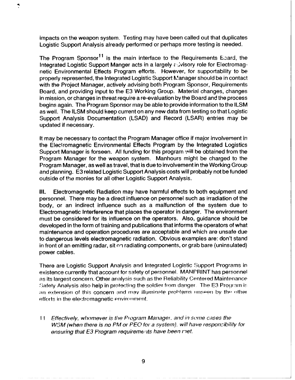impacts on the weapon system. Testing may have been called out that duplicates Logistic Support Analysis already performed or perhaps more testing is needed.

The Program Sponsor<sup>11</sup> is the main interface to the Requirements Epard, the Integrated Logistic Support Manger acts in a largely advisory role for Electromagnetic Environmental Effects Program efforts. However, for supportability to be properly represented, the Integrated Logistic Support Manager should be in contact with the Project Manager, actively advising both Program Sponsor, Requirements Board, and providing input to the E3 Working Group. Material changes, changes in mission, or changes in threat require a re-evaluation by the Board and the process begins again. The Program Sponsor may be able to provide information to the ILSM as well. The ILSM should keep current on any new data from testing so that Logistic Support Analysis Documentation (LSAD) and Record (LSAR) entries may be updated if necessary.

It may be necessary to contact the Program Manager office if major involvement in the Eleciromagnetic Environmental Effects Program by the Integrated Logistics Support Manager is forseen. All funding for this program will be obtained from the Program Manager for the weapon system. Manhours might be charged to the Program Manager, as well as travel, that is due to involvement in the Working Group and planning. E3 related Logistic Support Analysis costs will probably not be funded outside of the monies for all other Logistic Support Analysis.

**II1.** Electromagnetic Radiation may have harmful effects to both equipment and personnel. There may be a direct influence on personnel such as irradiation of the body, or an indirect influence such as a malfunction of the system due to Electromagnetic Interference that places the operator in danger. The environment must be considered for its influence on the operators. Also, guidance should be developed in the form of training and publications that informs the operators of what maintenance and operation procedures are acceptable and which are unsafe due to dangerous levels electromagnetic radiation. Obvious examples are: don't stand in front of an emitting radar, sit on radiating components, or grab bare (uninsulated) power cables.

There are Logistic Support Analysis and Integrated Logistic Support Programs in existence currently that account for safety of personnel. MANPRINT has personnel as its largest concern. Other analysis such as the Reliability Centered Maintenance !3afety Analysis also help in protecting the soldier from danger. The E3 Prograrn is an extension of this concern and may illuminate problems unseen by the other efforts in the electromagnetic environment.

**<sup>11</sup>**Effectively, whomever is the Program Manager. and in sonme cases the *WSM* (when there is no PM or *PEO* for a system). will have responsibifity for ensuring that E3 Program requirements have been *met.*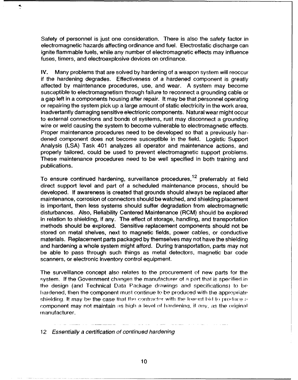Safety of personnel is just one consideration. There is also the safety factor in electromagnetic hazards affecting ordinance and fuel. Electrostatic discharge can ignite flammable fuels, while any number of electromagnetic effects may influence fuses, timers, and electroexplosive devices on ordinance.

4.

IV. Many problems that are solved by hardening of a weapon system will reoccur if the hardening degrades. Effectiveness of a hardened component is greatly affected by maintenance procedures, use, and wear. A system may become susceptible to electromagnetism through failure to reconnect a grounding cable or a gap left in a components housing after repair. It may be that personnel operating or repairing the system pick up a large amount of static electricity in the work area, inadvertantly damaging sensitive electrionic components. Natural wear might occur to external connections and bonds of systems, rust may disconnect a grounding wire or weld causing the system to become vulnerable to electromagnetic effects. Proper maintenance procedures need to be developed so that a previously hardened component does not become susceptible in the field. Logistic Support Analysis (LSA) Task 401 analyzes all operator and maintenance actions, and properly tailored, could be used to prevent electromagnetic support problems. These maintenance procedures need to be well specified in both training and publications.

To ensure continued hardening, surveillance procedures,  $12$  preferrably at field direct support level and part of a scheduled maintenance process, should be developed. If awareness is created that grounds should always be replaced after maintenance, corrosion of connectors should be watched, and shielding placement is important, then less systems should suffer degradation from electromagnetic disturbances. Also, Reliability Centered Maintenance (RCM) should be explored in relation to shielding, if any. The effect of storage, handling, and transportation methods should be explored. Sensitive replacement components should not be stored on metal shelves, next to magnetic fields, power cables, or conductive materials. Replacement parts packaged by themselves may not have the shielding and hardening a whole system might afford. During transportation, parts may not be able to pass through such things as metal detectors, magnetic bar code scanners, or electronic inventory control equipment.

The surveillance concept also relates to the procurement of new parts for the system. **If** the Government changes the manufacturer of a part that is specified in the design (and Technical Data Package drawings and specifications) to be hardened, then the component must continue to be produced with the appropiate shielding. It may be the case that the contractor with the Iowest bid to produce a component may not maintain as high a level of hardening, if any, as the original manufacturer.

12 Essentially a certification of continued hardening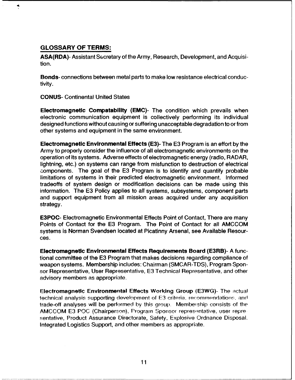### **GLOSSARY OF TERMS:**

**4**

**ASA(RDA)-** Assistant Secretary of the Army, Research, Development, and Acquisition.

Bonds- connections between metal parts to make low resistance electrical conductivity.

**CONUS-** Continental United States

**Electromagnetic Compatabillty (EMC)-** The condition which prevails when electronic communication equipment is collectively performing its individual designed functions without causing or suffering unacceptable degradation to or from other systems and equipment in the same environment.

**Electromagnetic Environmental Effects (E3)-** The **E3** Program is an effort **by** the Army to properly consider the influence of all electromagnetic environments on the operation of its systems. Adverse effects of electromagnetic energy (radio, RADAR, lightning, etc.) on systems can range from misfunction to destruction of electrical components. The goal of the **E3** Program is to identify and quantify probable limitations of systems in their predicted electromagnetic environment. Informed tradeoffs of system design or modification decisions can be made using this information. The **E3** Policy applies to all systems, subsystems, component parts and support equipment from all mission areas acquired under any acquisition strategy.

**E3POC-** Electromagnetic Environmental Effects Point of Contact, There are many Points of Contact for the **E3** Program. The Point of Contact for all **AMCCOM** systems is Norman Svendsen located at Picatinny Arsenal, see Available Resources.

**Electromagnetic Environmental Effects Requirements Board** (E3RB)- **A** functional committee of the **E3** Program that makes decisions regarding compliance of weapon systems. Membership includes: Chairman (SMCAR-TDS), Program Sponsor Representative, User Representative, **E3** Technical Representative, and other advisory members as appropriate.

**Electromagnetic Environmental Effects Working Group (E3WG)-** The actual technical analysis supporting development of **E3** criteria, rerommpndations. and trade-off analyses will be performed by this group. Membeiship consists of the AMCCOM E3 POC (Chairperson), Program Sponsor representative, user representative, Product Assurance Directorate, Safety, Explosive Ordnance Disposal. Integrated Logistics Support, and other members as appropriate.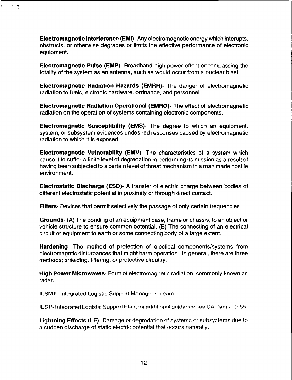**Electromagnetic Interference (EMI)-** Any electromagnetic energy which interupts, obstructs, or otherwise degrades or limits the effective performance of electronic equipment.

 $\blacktriangleleft$  .

 $\pmb{\cdot}$ 

**Electromagnetic Pulse (EMP)-** Broadband high power effect encompassing the totality of the system as an antenna, such as would occur from a nuclear blast.

**Electromagnetic Radiation Hazards (EMRH)-** The danger of electromagnetic radiation to fuels, elctronic hardware, ordnance, and personnel.

**Electromagnetic Radiation Operational (EMRO)-** The effect of electromagnetic radiation on the operation of systems containing electronic components.

**Electromagnetic Susceptibility (EMS)-** The degree to which an equipment, system, or subsystem evidences undesired responses caused **by** electromagnetic radiation to which it is exposed.

**Electromagnetic Vulnerability (EMV)-** The characteristics of a system which cause it to suffer a finite level of degredation in performing its mission as a result of having been subjected to a certain level of threat mechanism in a man made hostile environment.

**Electrostatic Discharge (ESD)- A** transfer of electric charge between bodies of different electrostatic potential in proximity or through direct contact.

**Filters-** Devices that permit selectively the passage of only certain frequencies.

**Grounds- (A) The** bonding of an equipment case, frame or chassis, to an object or vehicle structure to ensure common potential. (B) The connecting of an electrical circuit or equipment to earth or some connecting body of a large extent.

**Hardening-** The method of protection of electical components/systems from electromagntic disturbances that might harm operation. In general, there are three methods; shielding, filtering, or protective circuitry.

**High Power Microwaves-** Form of electromagnetic radiation, commonly known as radar.

ILSMT- Integrated Logistic Support Manager's Team.

**ILSP-** Integrated Logistic Support Plan, for additional guidance see DA Pam 700-55.

Lightning Effects (LE)- Damage or degredation of systems or subsystems due to a sudden discharge of static electric potential that occurs naturally.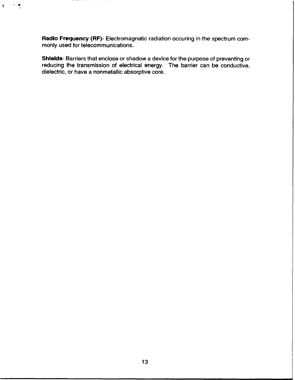**Radio Frequency (RF)-** Electromagnetic radiation occuring in the spectrum commonly used for telecommunications.

-----

 $\pmb{\cdot}$ 

Shields- Barriers that enclose or shadow a device for the purpose of preventing or reducing the transmission of electrical energy. The barrier can be conductive, dielectric, or have a nonmetallic absorptive core.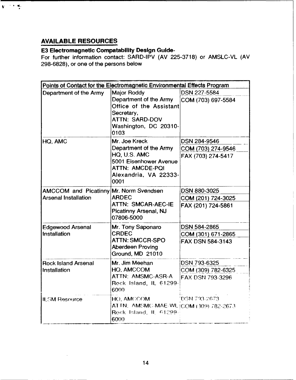# **AVAILABLE RESOURCES**

 $\mathbf{V} \in \mathbb{R}^{N \times N}$  . We

# **E3 Electromagnetic Compatability Design Guide-**

For further information contact: SARD-iPV (AV **225-3718)** or **AMSLC-VL** (AV **298-6828),** or one of the persons below

| Points of Contact for the Electromagnetic Environmental Effects Program |                                                                                                                    |                     |  |  |  |
|-------------------------------------------------------------------------|--------------------------------------------------------------------------------------------------------------------|---------------------|--|--|--|
| Department of the Army                                                  | <b>Major Roddy</b>                                                                                                 | DSN 227-5584        |  |  |  |
|                                                                         | Department of the Army<br>Office of the Assistant<br>Secretary,<br>ATTN: SARD-DOV<br>Washington, DC 20310-<br>0103 | COM (703) 697-5584  |  |  |  |
| HQ, AMC                                                                 | Mr. Joe Kreck                                                                                                      | DSN 284-9546        |  |  |  |
|                                                                         | Department of the Army                                                                                             | COM (703) 274-9546  |  |  |  |
|                                                                         | HQ, U.S. AMC<br>5001 Eisenhower Avenue<br><b>ATTN: AMCDE-POI</b><br>Alexandria, VA 22333-<br>0001                  | FAX (703) 274-5417  |  |  |  |
| AMCCOM and Picatinny Mr. Norm Svendsen                                  |                                                                                                                    | <b>DSN 880-3025</b> |  |  |  |
| <b>Arsenal Installation</b>                                             | <b>ARDEC</b>                                                                                                       | COM (201) 724-3025  |  |  |  |
|                                                                         | <b>ATTN: SMCAR-AEC-IE</b><br>Picatinny Arsenal, NJ<br>07806-5000                                                   | FAX (201) 724-5861  |  |  |  |
| <b>Edgewood Arsenal</b>                                                 | Mr. Tony Saponaro                                                                                                  | DSN 584-2865        |  |  |  |
| Installation                                                            | <b>CRDEC</b>                                                                                                       | COM (301) 671-2865  |  |  |  |
|                                                                         | <b>ATTN: SMCCR-SPO</b><br><b>Aberdeen Proving</b><br>Ground, MD 21010                                              | FAX DSN 584-3143    |  |  |  |
| <b>Rock Island Arsenal</b>                                              | Mr. Jim Meehan                                                                                                     | DSN 793-6325        |  |  |  |
| Installation                                                            | <b>HO. AMCCOM</b>                                                                                                  | COM (309) 782-6325  |  |  |  |
|                                                                         | ATTN: AMSMC-ASR-A<br>Rock Island, IL 61299-<br>6000                                                                | FAX DSN 793-3296    |  |  |  |
| <b>ILSM Resource</b>                                                    | HO, AMCCOM                                                                                                         | "DSN 793-2673.      |  |  |  |
|                                                                         | AT TN: AMSMC-MAE-WL (COM (309) 782-2673                                                                            |                     |  |  |  |
|                                                                         | Rock Island, IL 61299-<br>6000                                                                                     |                     |  |  |  |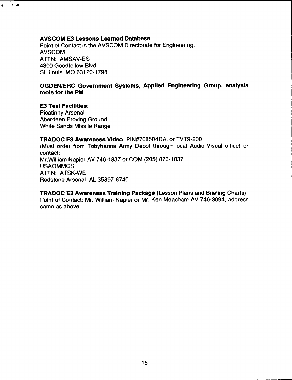#### **AVSCOM E3 Lessons Learned Database**

Point of Contact is the AVSCOM Directorate for Engineering, **AVSCOM ATTN: AMSAV-ES** 4300 Goodfellow Blvd St. Louis, MO 63120-1798

## **OGDEN/ERC** Government Systems, Applied Engineering Group, analysis **tools for the PM**

# **E3 Test Facilities:**

 $\mathbf{q}_1 \rightarrow \mathbf{q}_2$  and

Picatinny Arsenal Aberdeen Proving Ground White Sands Missile Range

#### **TRADOC E3 Awareness Video-** PIN#708504DA, or TVT9-200

(Must order from Tobyhanna Army Depot through local Audio-Visual office) or contact: Mr.William Napier AV **746-1837** or **COM (205) 876-1837 USAOMMCS ATTN:** ATSK-WE Redstone Arsenal, **AL 35897-6740**

TRADOC **E3** Awareness Training Package (Lesson Plans and Briefing Charts) Point of Contact: Mr. William Napier or Mr. Ken Meacham AV 746-3094, address same as above